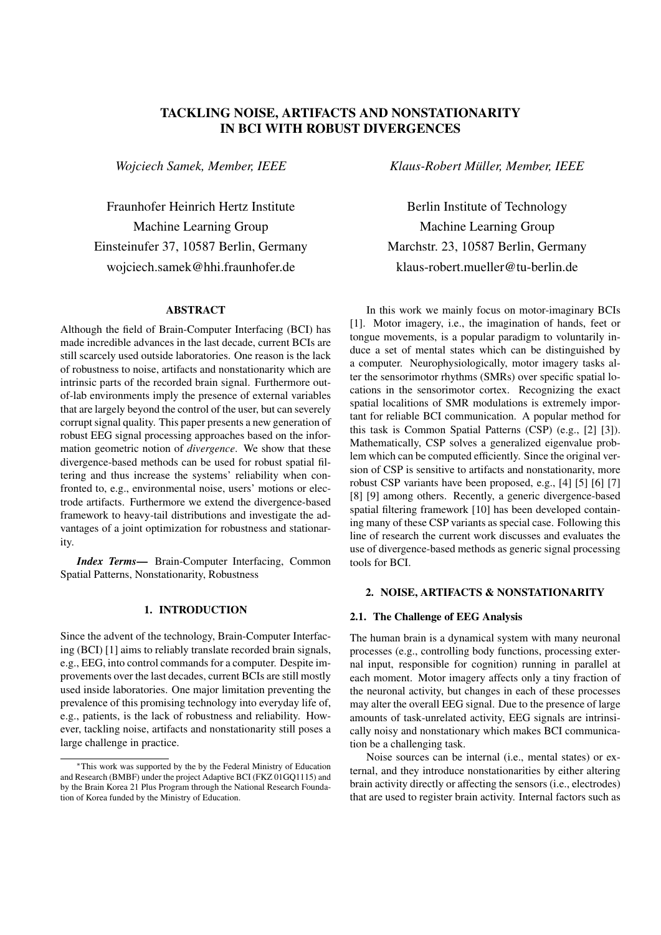# TACKLING NOISE, ARTIFACTS AND NONSTATIONARITY IN BCI WITH ROBUST DIVERGENCES

*Wojciech Samek, Member, IEEE*

Fraunhofer Heinrich Hertz Institute Machine Learning Group Einsteinufer 37, 10587 Berlin, Germany wojciech.samek@hhi.fraunhofer.de

### ABSTRACT

Although the field of Brain-Computer Interfacing (BCI) has made incredible advances in the last decade, current BCIs are still scarcely used outside laboratories. One reason is the lack of robustness to noise, artifacts and nonstationarity which are intrinsic parts of the recorded brain signal. Furthermore outof-lab environments imply the presence of external variables that are largely beyond the control of the user, but can severely corrupt signal quality. This paper presents a new generation of robust EEG signal processing approaches based on the information geometric notion of *divergence*. We show that these divergence-based methods can be used for robust spatial filtering and thus increase the systems' reliability when confronted to, e.g., environmental noise, users' motions or electrode artifacts. Furthermore we extend the divergence-based framework to heavy-tail distributions and investigate the advantages of a joint optimization for robustness and stationarity.

*Index Terms*— Brain-Computer Interfacing, Common Spatial Patterns, Nonstationarity, Robustness

### 1. INTRODUCTION

Since the advent of the technology, Brain-Computer Interfacing (BCI) [1] aims to reliably translate recorded brain signals, e.g., EEG, into control commands for a computer. Despite improvements over the last decades, current BCIs are still mostly used inside laboratories. One major limitation preventing the prevalence of this promising technology into everyday life of, e.g., patients, is the lack of robustness and reliability. However, tackling noise, artifacts and nonstationarity still poses a large challenge in practice.

*Klaus-Robert Muller, Member, IEEE ¨*

Berlin Institute of Technology Machine Learning Group Marchstr. 23, 10587 Berlin, Germany klaus-robert.mueller@tu-berlin.de

In this work we mainly focus on motor-imaginary BCIs [1]. Motor imagery, i.e., the imagination of hands, feet or tongue movements, is a popular paradigm to voluntarily induce a set of mental states which can be distinguished by a computer. Neurophysiologically, motor imagery tasks alter the sensorimotor rhythms (SMRs) over specific spatial locations in the sensorimotor cortex. Recognizing the exact spatial localitions of SMR modulations is extremely important for reliable BCI communication. A popular method for this task is Common Spatial Patterns (CSP) (e.g., [2] [3]). Mathematically, CSP solves a generalized eigenvalue problem which can be computed efficiently. Since the original version of CSP is sensitive to artifacts and nonstationarity, more robust CSP variants have been proposed, e.g., [4] [5] [6] [7] [8] [9] among others. Recently, a generic divergence-based spatial filtering framework [10] has been developed containing many of these CSP variants as special case. Following this line of research the current work discusses and evaluates the use of divergence-based methods as generic signal processing tools for BCI.

## 2. NOISE, ARTIFACTS & NONSTATIONARITY

## 2.1. The Challenge of EEG Analysis

The human brain is a dynamical system with many neuronal processes (e.g., controlling body functions, processing external input, responsible for cognition) running in parallel at each moment. Motor imagery affects only a tiny fraction of the neuronal activity, but changes in each of these processes may alter the overall EEG signal. Due to the presence of large amounts of task-unrelated activity, EEG signals are intrinsically noisy and nonstationary which makes BCI communication be a challenging task.

Noise sources can be internal (i.e., mental states) or external, and they introduce nonstationarities by either altering brain activity directly or affecting the sensors (i.e., electrodes) that are used to register brain activity. Internal factors such as

<sup>∗</sup>This work was supported by the by the Federal Ministry of Education and Research (BMBF) under the project Adaptive BCI (FKZ 01GQ1115) and by the Brain Korea 21 Plus Program through the National Research Foundation of Korea funded by the Ministry of Education.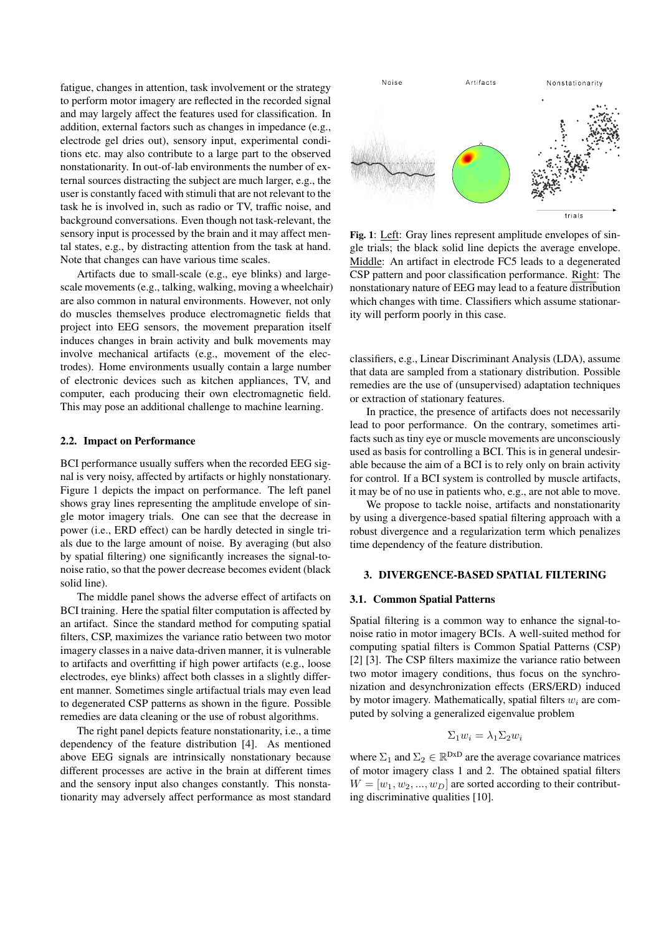fatigue, changes in attention, task involvement or the strategy to perform motor imagery are reflected in the recorded signal and may largely affect the features used for classification. In addition, external factors such as changes in impedance (e.g., electrode gel dries out), sensory input, experimental conditions etc. may also contribute to a large part to the observed nonstationarity. In out-of-lab environments the number of external sources distracting the subject are much larger, e.g., the user is constantly faced with stimuli that are not relevant to the task he is involved in, such as radio or TV, traffic noise, and background conversations. Even though not task-relevant, the sensory input is processed by the brain and it may affect mental states, e.g., by distracting attention from the task at hand. Note that changes can have various time scales.

Artifacts due to small-scale (e.g., eye blinks) and largescale movements (e.g., talking, walking, moving a wheelchair) are also common in natural environments. However, not only do muscles themselves produce electromagnetic fields that project into EEG sensors, the movement preparation itself induces changes in brain activity and bulk movements may involve mechanical artifacts (e.g., movement of the electrodes). Home environments usually contain a large number of electronic devices such as kitchen appliances, TV, and computer, each producing their own electromagnetic field. This may pose an additional challenge to machine learning.

#### 2.2. Impact on Performance

BCI performance usually suffers when the recorded EEG signal is very noisy, affected by artifacts or highly nonstationary. Figure 1 depicts the impact on performance. The left panel shows gray lines representing the amplitude envelope of single motor imagery trials. One can see that the decrease in power (i.e., ERD effect) can be hardly detected in single trials due to the large amount of noise. By averaging (but also by spatial filtering) one significantly increases the signal-tonoise ratio, so that the power decrease becomes evident (black solid line).

The middle panel shows the adverse effect of artifacts on BCI training. Here the spatial filter computation is affected by an artifact. Since the standard method for computing spatial filters, CSP, maximizes the variance ratio between two motor imagery classes in a naive data-driven manner, it is vulnerable to artifacts and overfitting if high power artifacts (e.g., loose electrodes, eye blinks) affect both classes in a slightly different manner. Sometimes single artifactual trials may even lead to degenerated CSP patterns as shown in the figure. Possible remedies are data cleaning or the use of robust algorithms.

The right panel depicts feature nonstationarity, i.e., a time dependency of the feature distribution [4]. As mentioned above EEG signals are intrinsically nonstationary because different processes are active in the brain at different times and the sensory input also changes constantly. This nonstationarity may adversely affect performance as most standard



Fig. 1: Left: Gray lines represent amplitude envelopes of single trials; the black solid line depicts the average envelope. Middle: An artifact in electrode FC5 leads to a degenerated CSP pattern and poor classification performance. Right: The nonstationary nature of EEG may lead to a feature distribution which changes with time. Classifiers which assume stationarity will perform poorly in this case.

classifiers, e.g., Linear Discriminant Analysis (LDA), assume that data are sampled from a stationary distribution. Possible remedies are the use of (unsupervised) adaptation techniques or extraction of stationary features.

In practice, the presence of artifacts does not necessarily lead to poor performance. On the contrary, sometimes artifacts such as tiny eye or muscle movements are unconsciously used as basis for controlling a BCI. This is in general undesirable because the aim of a BCI is to rely only on brain activity for control. If a BCI system is controlled by muscle artifacts, it may be of no use in patients who, e.g., are not able to move.

We propose to tackle noise, artifacts and nonstationarity by using a divergence-based spatial filtering approach with a robust divergence and a regularization term which penalizes time dependency of the feature distribution.

#### 3. DIVERGENCE-BASED SPATIAL FILTERING

### 3.1. Common Spatial Patterns

Spatial filtering is a common way to enhance the signal-tonoise ratio in motor imagery BCIs. A well-suited method for computing spatial filters is Common Spatial Patterns (CSP) [2] [3]. The CSP filters maximize the variance ratio between two motor imagery conditions, thus focus on the synchronization and desynchronization effects (ERS/ERD) induced by motor imagery. Mathematically, spatial filters  $w_i$  are computed by solving a generalized eigenvalue problem

$$
\Sigma_1 w_i = \lambda_1 \Sigma_2 w_i
$$

where  $\Sigma_1$  and  $\Sigma_2 \in \mathbb{R}^{DxD}$  are the average covariance matrices of motor imagery class 1 and 2. The obtained spatial filters  $W = [w_1, w_2, ..., w_D]$  are sorted according to their contributing discriminative qualities [10].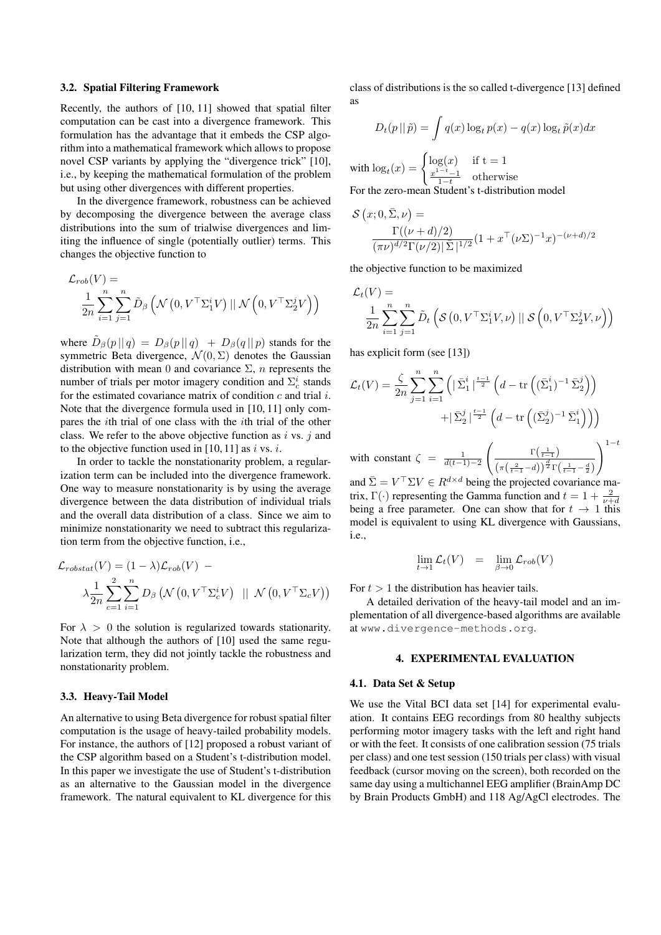### 3.2. Spatial Filtering Framework

Recently, the authors of [10, 11] showed that spatial filter computation can be cast into a divergence framework. This formulation has the advantage that it embeds the CSP algorithm into a mathematical framework which allows to propose novel CSP variants by applying the "divergence trick" [10], i.e., by keeping the mathematical formulation of the problem but using other divergences with different properties.

In the divergence framework, robustness can be achieved by decomposing the divergence between the average class distributions into the sum of trialwise divergences and limiting the influence of single (potentially outlier) terms. This changes the objective function to

$$
\mathcal{L}_{rob}(V) = \frac{1}{2n} \sum_{i=1}^{n} \sum_{j=1}^{n} \tilde{D}_{\beta} \left( \mathcal{N} \left( 0, V^{\top} \Sigma_{1}^{i} V \right) || \mathcal{N} \left( 0, V^{\top} \Sigma_{2}^{j} V \right) \right)
$$

where  $\tilde{D}_{\beta}(p \mid q) = D_{\beta}(p \mid q) + D_{\beta}(q \mid p)$  stands for the symmetric Beta divergence,  $\mathcal{N}(0, \Sigma)$  denotes the Gaussian distribution with mean 0 and covariance  $\Sigma$ , *n* represents the number of trials per motor imagery condition and  $\Sigma_c^i$  stands for the estimated covariance matrix of condition  $c$  and trial  $i$ . Note that the divergence formula used in [10, 11] only compares the ith trial of one class with the ith trial of the other class. We refer to the above objective function as i vs. j and to the objective function used in [10, 11] as i vs. i.

In order to tackle the nonstationarity problem, a regularization term can be included into the divergence framework. One way to measure nonstationarity is by using the average divergence between the data distribution of individual trials and the overall data distribution of a class. Since we aim to minimize nonstationarity we need to subtract this regularization term from the objective function, i.e.,

$$
\mathcal{L}_{\text{robstat}}(V) = (1 - \lambda)\mathcal{L}_{\text{rob}}(V) - \lambda \frac{1}{2n} \sum_{c=1}^{n} \sum_{i=1}^{n} D_{\beta} \left( \mathcal{N} \left( 0, V^{\top} \Sigma_{c}^{i} V \right) \ \parallel \ \mathcal{N} \left( 0, V^{\top} \Sigma_{c} V \right) \right)
$$

For  $\lambda > 0$  the solution is regularized towards stationarity. Note that although the authors of [10] used the same regularization term, they did not jointly tackle the robustness and nonstationarity problem.

#### 3.3. Heavy-Tail Model

An alternative to using Beta divergence for robust spatial filter computation is the usage of heavy-tailed probability models. For instance, the authors of [12] proposed a robust variant of the CSP algorithm based on a Student's t-distribution model. In this paper we investigate the use of Student's t-distribution as an alternative to the Gaussian model in the divergence framework. The natural equivalent to KL divergence for this

class of distributions is the so called t-divergence [13] defined as

$$
D_t(p \mid \tilde{p}) = \int q(x) \log_t p(x) - q(x) \log_t \tilde{p}(x) dx
$$

with  $\log_t(x) = \begin{cases} \log(x) & \text{if } t = 1 \\ x^{1-t} - 1 & \text{otherwise} \end{cases}$  $rac{x^{1-t}-1}{1-t}$  otherwise For the zero-mean Student's t-distribution model

$$
\mathcal{S}(x; 0, \bar{\Sigma}, \nu) = \frac{\Gamma((\nu + d)/2)}{(\pi \nu)^{d/2} \Gamma(\nu/2) |\bar{\Sigma}|^{1/2}} (1 + x^{\top} (\nu \Sigma)^{-1} x)^{-(\nu + d)/2}
$$

the objective function to be maximized

$$
\mathcal{L}_t(V) = \frac{1}{2n} \sum_{i=1}^n \sum_{j=1}^n \tilde{D}_t \left( \mathcal{S} \left( 0, V^\top \Sigma_1^i V, \nu \right) || \mathcal{S} \left( 0, V^\top \Sigma_2^j V, \nu \right) \right)
$$

has explicit form (see [13])

$$
\mathcal{L}_t(V) = \frac{\zeta}{2n} \sum_{j=1}^n \sum_{i=1}^n \left( |\bar{\Sigma}_1^i|^{\frac{t-1}{2}} \left( d - \text{tr}\left( (\bar{\Sigma}_1^i)^{-1} \bar{\Sigma}_2^j \right) \right) + |\bar{\Sigma}_2^j|^{\frac{t-1}{2}} \left( d - \text{tr}\left( (\bar{\Sigma}_2^j)^{-1} \bar{\Sigma}_1^i \right) \right) \right)
$$

with constant  $\zeta = \frac{1}{d(t-1)-2}$  $\int \frac{1}{t-1}$  $\left(\pi\left(\frac{2}{t-1}-d\right)\right)^{\frac{d}{2}}\Gamma\left(\frac{1}{t-1}-\frac{d}{2}\right)$  $\setminus$ <sup>1−t</sup>

and  $\bar{\Sigma} = V^{\top} \Sigma V \in R^{d \times d}$  being the projected covariance matrix,  $\Gamma(\cdot)$  representing the Gamma function and  $t = 1 + \frac{2}{\nu + d}$ being a free parameter. One can show that for  $t \to 1$  this model is equivalent to using KL divergence with Gaussians, i.e.,

$$
\lim_{t \to 1} \mathcal{L}_t(V) = \lim_{\beta \to 0} \mathcal{L}_{rob}(V)
$$

For  $t > 1$  the distribution has heavier tails.

A detailed derivation of the heavy-tail model and an implementation of all divergence-based algorithms are available at www.divergence-methods.org.

#### 4. EXPERIMENTAL EVALUATION

#### 4.1. Data Set & Setup

We use the Vital BCI data set [14] for experimental evaluation. It contains EEG recordings from 80 healthy subjects performing motor imagery tasks with the left and right hand or with the feet. It consists of one calibration session (75 trials per class) and one test session (150 trials per class) with visual feedback (cursor moving on the screen), both recorded on the same day using a multichannel EEG amplifier (BrainAmp DC by Brain Products GmbH) and 118 Ag/AgCl electrodes. The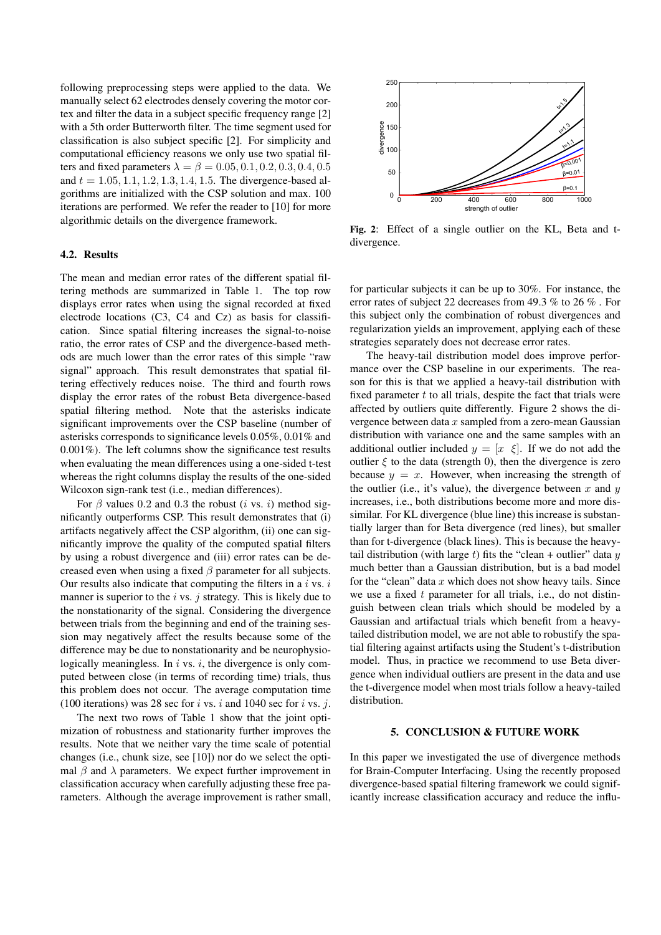following preprocessing steps were applied to the data. We manually select 62 electrodes densely covering the motor cortex and filter the data in a subject specific frequency range [2] with a 5th order Butterworth filter. The time segment used for classification is also subject specific [2]. For simplicity and computational efficiency reasons we only use two spatial filters and fixed parameters  $\lambda = \beta = 0.05, 0.1, 0.2, 0.3, 0.4, 0.5$ and  $t = 1.05, 1.1, 1.2, 1.3, 1.4, 1.5$ . The divergence-based algorithms are initialized with the CSP solution and max. 100 iterations are performed. We refer the reader to [10] for more algorithmic details on the divergence framework.

### 4.2. Results

The mean and median error rates of the different spatial filtering methods are summarized in Table 1. The top row displays error rates when using the signal recorded at fixed electrode locations (C3, C4 and Cz) as basis for classification. Since spatial filtering increases the signal-to-noise ratio, the error rates of CSP and the divergence-based methods are much lower than the error rates of this simple "raw signal" approach. This result demonstrates that spatial filtering effectively reduces noise. The third and fourth rows display the error rates of the robust Beta divergence-based spatial filtering method. Note that the asterisks indicate significant improvements over the CSP baseline (number of asterisks corresponds to significance levels 0.05%, 0.01% and 0.001%). The left columns show the significance test results when evaluating the mean differences using a one-sided t-test whereas the right columns display the results of the one-sided Wilcoxon sign-rank test (i.e., median differences).

For  $\beta$  values 0.2 and 0.3 the robust (*i* vs. *i*) method significantly outperforms CSP. This result demonstrates that (i) artifacts negatively affect the CSP algorithm, (ii) one can significantly improve the quality of the computed spatial filters by using a robust divergence and (iii) error rates can be decreased even when using a fixed  $\beta$  parameter for all subjects. Our results also indicate that computing the filters in a  $i$  vs.  $i$ manner is superior to the  $i$  vs.  $j$  strategy. This is likely due to the nonstationarity of the signal. Considering the divergence between trials from the beginning and end of the training session may negatively affect the results because some of the difference may be due to nonstationarity and be neurophysiologically meaningless. In  $i$  vs.  $i$ , the divergence is only computed between close (in terms of recording time) trials, thus this problem does not occur. The average computation time (100 iterations) was 28 sec for i vs. i and 1040 sec for i vs. j.

The next two rows of Table 1 show that the joint optimization of robustness and stationarity further improves the results. Note that we neither vary the time scale of potential changes (i.e., chunk size, see [10]) nor do we select the optimal  $\beta$  and  $\lambda$  parameters. We expect further improvement in classification accuracy when carefully adjusting these free parameters. Although the average improvement is rather small,



Fig. 2: Effect of a single outlier on the KL, Beta and tdivergence.

for particular subjects it can be up to 30%. For instance, the error rates of subject 22 decreases from 49.3 % to 26 % . For this subject only the combination of robust divergences and regularization yields an improvement, applying each of these strategies separately does not decrease error rates.

The heavy-tail distribution model does improve performance over the CSP baseline in our experiments. The reason for this is that we applied a heavy-tail distribution with fixed parameter  $t$  to all trials, despite the fact that trials were affected by outliers quite differently. Figure 2 shows the divergence between data  $x$  sampled from a zero-mean Gaussian distribution with variance one and the same samples with an additional outlier included  $y = [x \xi]$ . If we do not add the outlier  $\xi$  to the data (strength 0), then the divergence is zero because  $y = x$ . However, when increasing the strength of the outlier (i.e., it's value), the divergence between  $x$  and  $y$ increases, i.e., both distributions become more and more dissimilar. For KL divergence (blue line) this increase is substantially larger than for Beta divergence (red lines), but smaller than for t-divergence (black lines). This is because the heavytail distribution (with large t) fits the "clean + outlier" data  $y$ much better than a Gaussian distribution, but is a bad model for the "clean" data  $x$  which does not show heavy tails. Since we use a fixed  $t$  parameter for all trials, i.e., do not distinguish between clean trials which should be modeled by a Gaussian and artifactual trials which benefit from a heavytailed distribution model, we are not able to robustify the spatial filtering against artifacts using the Student's t-distribution model. Thus, in practice we recommend to use Beta divergence when individual outliers are present in the data and use the t-divergence model when most trials follow a heavy-tailed distribution.

#### 5. CONCLUSION & FUTURE WORK

In this paper we investigated the use of divergence methods for Brain-Computer Interfacing. Using the recently proposed divergence-based spatial filtering framework we could significantly increase classification accuracy and reduce the influ-